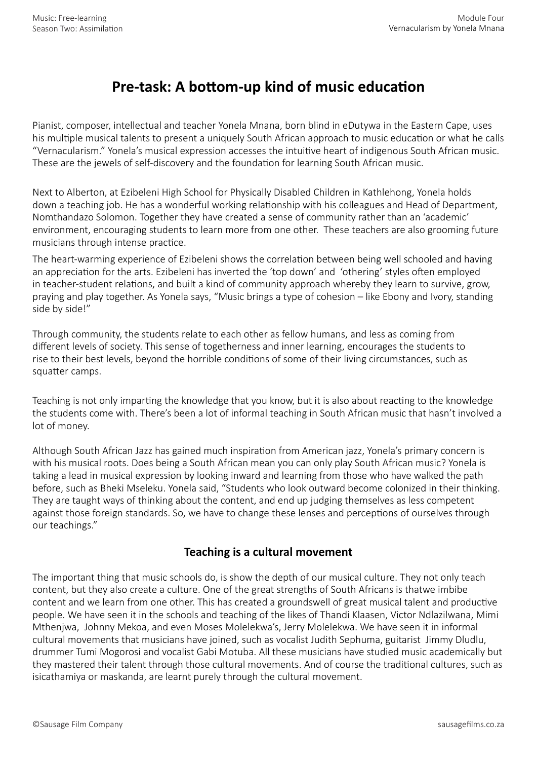## **Pre-task: A bottom-up kind of music education**

Pianist, composer, intellectual and teacher Yonela Mnana, born blind in eDutywa in the Eastern Cape, uses his multiple musical talents to present a uniquely South African approach to music education or what he calls "Vernacularism." Yonela's musical expression accesses the intuitive heart of indigenous South African music. These are the jewels of self-discovery and the foundation for learning South African music.

Next to Alberton, at Ezibeleni High School for Physically Disabled Children in Kathlehong, Yonela holds down a teaching job. He has a wonderful working relationship with his colleagues and Head of Department, Nomthandazo Solomon. Together they have created a sense of community rather than an 'academic' environment, encouraging students to learn more from one other. These teachers are also grooming future musicians through intense practice.

The heart-warming experience of Ezibeleni shows the correlation between being well schooled and having an appreciation for the arts. Ezibeleni has inverted the 'top down' and 'othering' styles often employed in teacher-student relations, and built a kind of community approach whereby they learn to survive, grow, praying and play together. As Yonela says, "Music brings a type of cohesion – like Ebony and Ivory, standing side by side!"

Through community, the students relate to each other as fellow humans, and less as coming from different levels of society. This sense of togetherness and inner learning, encourages the students to rise to their best levels, beyond the horrible conditions of some of their living circumstances, such as squatter camps.

Teaching is not only imparting the knowledge that you know, but it is also about reacting to the knowledge the students come with. There's been a lot of informal teaching in South African music that hasn't involved a lot of money.

Although South African Jazz has gained much inspiration from American jazz, Yonela's primary concern is with his musical roots. Does being a South African mean you can only play South African music? Yonela is taking a lead in musical expression by looking inward and learning from those who have walked the path before, such as Bheki Mseleku. Yonela said, "Students who look outward become colonized in their thinking. They are taught ways of thinking about the content, and end up judging themselves as less competent against those foreign standards. So, we have to change these lenses and perceptions of ourselves through our teachings."

## **Teaching is a cultural movement**

The important thing that music schools do, is show the depth of our musical culture. They not only teach content, but they also create a culture. One of the great strengths of South Africans is thatwe imbibe content and we learn from one other. This has created a groundswell of great musical talent and productive people. We have seen it in the schools and teaching of the likes of Thandi Klaasen, Victor Ndlazilwana, Mimi Mthenjwa, Johnny Mekoa, and even Moses Molelekwa's, Jerry Molelekwa. We have seen it in informal cultural movements that musicians have joined, such as vocalist Judith Sephuma, guitarist Jimmy Dludlu, drummer Tumi Mogorosi and vocalist Gabi Motuba. All these musicians have studied music academically but they mastered their talent through those cultural movements. And of course the traditional cultures, such as isicathamiya or maskanda, are learnt purely through the cultural movement.